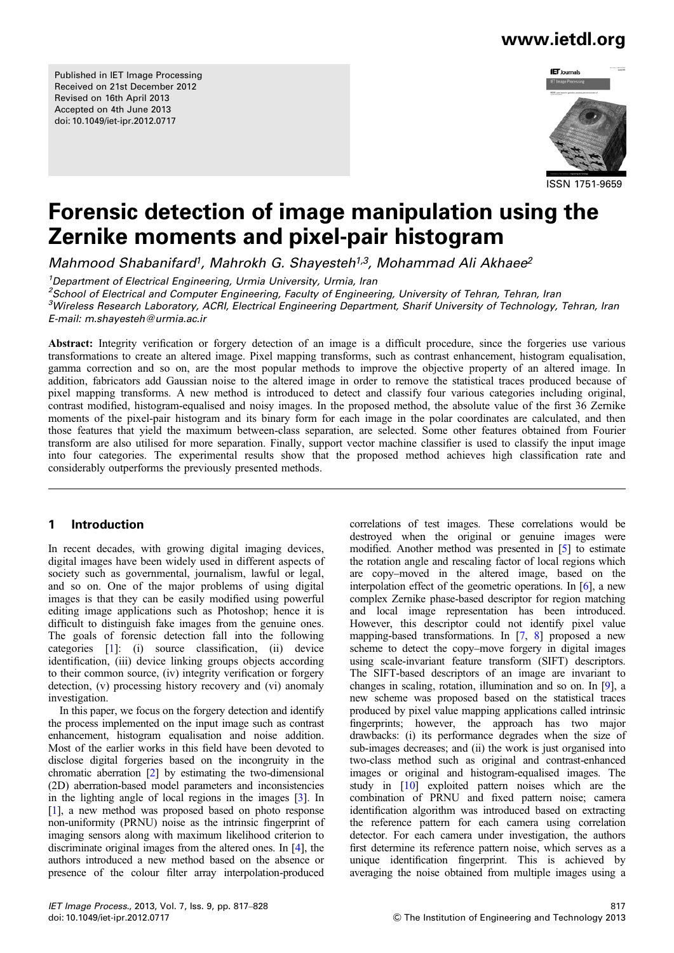Published in IET Image Processing Received on 21st December 2012 Revised on 16th April 2013 Accepted on 4th June 2013 doi: 10.1049/iet-ipr.2012.0717



ISSN 1751-9659

# Forensic detection of image manipulation using the Zernike moments and pixel-pair histogram

Mahmood Shabanifard<sup>1</sup>, Mahrokh G. Shayesteh<sup>1,3</sup>, Mohammad Ali Akhaee<sup>2</sup>

<sup>1</sup> Department of Electrical Engineering, Urmia University, Urmia, Iran

<sup>2</sup>School of Electrical and Computer Engineering, Faculty of Engineering, University of Tehran, Tehran, Iran

<sup>3</sup>Wireless Research Laboratory, ACRI, Electrical Engineering Department, Sharif University of Technology, Tehran, Iran E-mail: m.shayesteh@urmia.ac.ir

Abstract: Integrity verification or forgery detection of an image is a difficult procedure, since the forgeries use various transformations to create an altered image. Pixel mapping transforms, such as contrast enhancement, histogram equalisation, gamma correction and so on, are the most popular methods to improve the objective property of an altered image. In addition, fabricators add Gaussian noise to the altered image in order to remove the statistical traces produced because of pixel mapping transforms. A new method is introduced to detect and classify four various categories including original, contrast modified, histogram-equalised and noisy images. In the proposed method, the absolute value of the first 36 Zernike moments of the pixel-pair histogram and its binary form for each image in the polar coordinates are calculated, and then those features that yield the maximum between-class separation, are selected. Some other features obtained from Fourier transform are also utilised for more separation. Finally, support vector machine classifier is used to classify the input image into four categories. The experimental results show that the proposed method achieves high classification rate and considerably outperforms the previously presented methods.

### 1 Introduction

In recent decades, with growing digital imaging devices, digital images have been widely used in different aspects of society such as governmental, journalism, lawful or legal, and so on. One of the major problems of using digital images is that they can be easily modified using powerful editing image applications such as Photoshop; hence it is difficult to distinguish fake images from the genuine ones. The goals of forensic detection fall into the following categories [1]: (i) source classification, (ii) device identification, (iii) device linking groups objects according to their common source, (iv) integrity verification or forgery detection, (v) processing history recovery and (vi) anomaly investigation.

In this paper, we focus on the forgery detection and identify the process implemented on the input image such as contrast enhancement, histogram equalisation and noise addition. Most of the earlier works in this field have been devoted to disclose digital forgeries based on the incongruity in the chromatic aberration [2] by estimating the two-dimensional (2D) aberration-based model parameters and inconsistencies in the lighting angle of local regions in the images [3]. In [1], a new method was proposed based on photo response non-uniformity (PRNU) noise as the intrinsic fingerprint of imaging sensors along with maximum likelihood criterion to discriminate original images from the altered ones. In [4], the authors introduced a new method based on the absence or presence of the colour filter array interpolation-produced

correlations of test images. These correlations would be destroyed when the original or genuine images were modified. Another method was presented in [5] to estimate the rotation angle and rescaling factor of local regions which are copy–moved in the altered image, based on the interpolation effect of the geometric operations. In [6], a new complex Zernike phase-based descriptor for region matching and local image representation has been introduced. However, this descriptor could not identify pixel value mapping-based transformations. In [7, 8] proposed a new scheme to detect the copy–move forgery in digital images using scale-invariant feature transform (SIFT) descriptors. The SIFT-based descriptors of an image are invariant to changes in scaling, rotation, illumination and so on. In [9], a new scheme was proposed based on the statistical traces produced by pixel value mapping applications called intrinsic fingerprints; however, the approach has two major drawbacks: (i) its performance degrades when the size of sub-images decreases; and (ii) the work is just organised into two-class method such as original and contrast-enhanced images or original and histogram-equalised images. The study in [10] exploited pattern noises which are the combination of PRNU and fixed pattern noise; camera identification algorithm was introduced based on extracting the reference pattern for each camera using correlation detector. For each camera under investigation, the authors first determine its reference pattern noise, which serves as a unique identification fingerprint. This is achieved by averaging the noise obtained from multiple images using a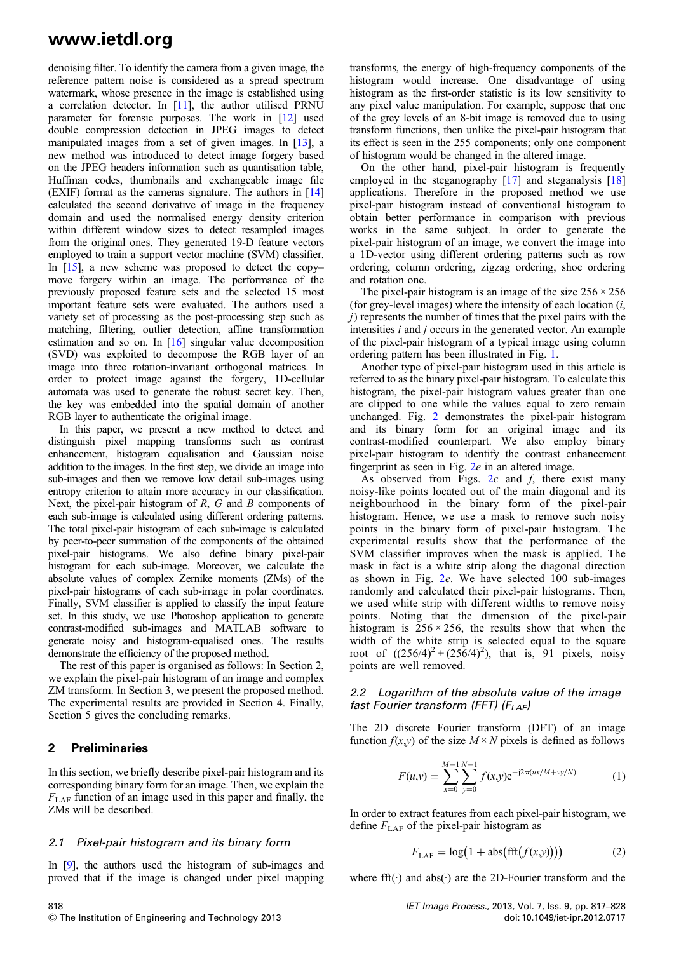denoising filter. To identify the camera from a given image, the reference pattern noise is considered as a spread spectrum watermark, whose presence in the image is established using a correlation detector. In [11], the author utilised PRNU parameter for forensic purposes. The work in [12] used double compression detection in JPEG images to detect manipulated images from a set of given images. In [13], a new method was introduced to detect image forgery based on the JPEG headers information such as quantisation table, Huffman codes, thumbnails and exchangeable image file (EXIF) format as the cameras signature. The authors in [14] calculated the second derivative of image in the frequency domain and used the normalised energy density criterion within different window sizes to detect resampled images from the original ones. They generated 19-D feature vectors employed to train a support vector machine (SVM) classifier. In [15], a new scheme was proposed to detect the copy– move forgery within an image. The performance of the previously proposed feature sets and the selected 15 most important feature sets were evaluated. The authors used a variety set of processing as the post-processing step such as matching, filtering, outlier detection, affine transformation estimation and so on. In [16] singular value decomposition (SVD) was exploited to decompose the RGB layer of an image into three rotation-invariant orthogonal matrices. In order to protect image against the forgery, 1D-cellular automata was used to generate the robust secret key. Then, the key was embedded into the spatial domain of another RGB layer to authenticate the original image.

In this paper, we present a new method to detect and distinguish pixel mapping transforms such as contrast enhancement, histogram equalisation and Gaussian noise addition to the images. In the first step, we divide an image into sub-images and then we remove low detail sub-images using entropy criterion to attain more accuracy in our classification. Next, the pixel-pair histogram of  $R$ ,  $G$  and  $B$  components of each sub-image is calculated using different ordering patterns. The total pixel-pair histogram of each sub-image is calculated by peer-to-peer summation of the components of the obtained pixel-pair histograms. We also define binary pixel-pair histogram for each sub-image. Moreover, we calculate the absolute values of complex Zernike moments (ZMs) of the pixel-pair histograms of each sub-image in polar coordinates. Finally, SVM classifier is applied to classify the input feature set. In this study, we use Photoshop application to generate contrast-modified sub-images and MATLAB software to generate noisy and histogram-equalised ones. The results demonstrate the efficiency of the proposed method.

The rest of this paper is organised as follows: In Section 2, we explain the pixel-pair histogram of an image and complex ZM transform. In Section 3, we present the proposed method. The experimental results are provided in Section 4. Finally, Section 5 gives the concluding remarks.

### 2 Preliminaries

In this section, we briefly describe pixel-pair histogram and its corresponding binary form for an image. Then, we explain the  $F_{\text{LAF}}$  function of an image used in this paper and finally, the ZMs will be described.

#### 2.1 Pixel-pair histogram and its binary form

In [9], the authors used the histogram of sub-images and proved that if the image is changed under pixel mapping

transforms, the energy of high-frequency components of the histogram would increase. One disadvantage of using histogram as the first-order statistic is its low sensitivity to any pixel value manipulation. For example, suppose that one of the grey levels of an 8-bit image is removed due to using transform functions, then unlike the pixel-pair histogram that its effect is seen in the 255 components; only one component of histogram would be changed in the altered image.

On the other hand, pixel-pair histogram is frequently employed in the steganography [17] and steganalysis [18] applications. Therefore in the proposed method we use pixel-pair histogram instead of conventional histogram to obtain better performance in comparison with previous works in the same subject. In order to generate the pixel-pair histogram of an image, we convert the image into a 1D-vector using different ordering patterns such as row ordering, column ordering, zigzag ordering, shoe ordering and rotation one.

The pixel-pair histogram is an image of the size  $256 \times 256$ (for grey-level images) where the intensity of each location  $(i, j)$  $j$ ) represents the number of times that the pixel pairs with the intensities  $i$  and  $j$  occurs in the generated vector. An example of the pixel-pair histogram of a typical image using column ordering pattern has been illustrated in Fig. 1.

Another type of pixel-pair histogram used in this article is referred to as the binary pixel-pair histogram. To calculate this histogram, the pixel-pair histogram values greater than one are clipped to one while the values equal to zero remain unchanged. Fig. 2 demonstrates the pixel-pair histogram and its binary form for an original image and its contrast-modified counterpart. We also employ binary pixel-pair histogram to identify the contrast enhancement fingerprint as seen in Fig. 2e in an altered image.

As observed from Figs.  $2c$  and f, there exist many noisy-like points located out of the main diagonal and its neighbourhood in the binary form of the pixel-pair histogram. Hence, we use a mask to remove such noisy points in the binary form of pixel-pair histogram. The experimental results show that the performance of the SVM classifier improves when the mask is applied. The mask in fact is a white strip along the diagonal direction as shown in Fig. 2e. We have selected 100 sub-images randomly and calculated their pixel-pair histograms. Then, we used white strip with different widths to remove noisy points. Noting that the dimension of the pixel-pair histogram is  $256 \times 256$ , the results show that when the width of the white strip is selected equal to the square root of  $((256/4)^2 + (256/4)^2)$ , that is, 91 pixels, noisy points are well removed.

#### 2.2 Logarithm of the absolute value of the image fast Fourier transform (FFT)  $(F<sub>LAF</sub>)$

The 2D discrete Fourier transform (DFT) of an image function  $f(x,y)$  of the size  $M \times N$  pixels is defined as follows

$$
F(u,v) = \sum_{x=0}^{M-1} \sum_{y=0}^{N-1} f(x,y) e^{-j2\pi(ux/M + vy/N)}
$$
(1)

In order to extract features from each pixel-pair histogram, we define  $F_{\text{LAF}}$  of the pixel-pair histogram as

$$
F_{\text{LAF}} = \log\big(1 + \text{abs}\big(\text{fft}\big(f(x, y)\big)\big)\big) \tag{2}
$$

where  $\text{fft}(\cdot)$  and abs( $\cdot$ ) are the 2D-Fourier transform and the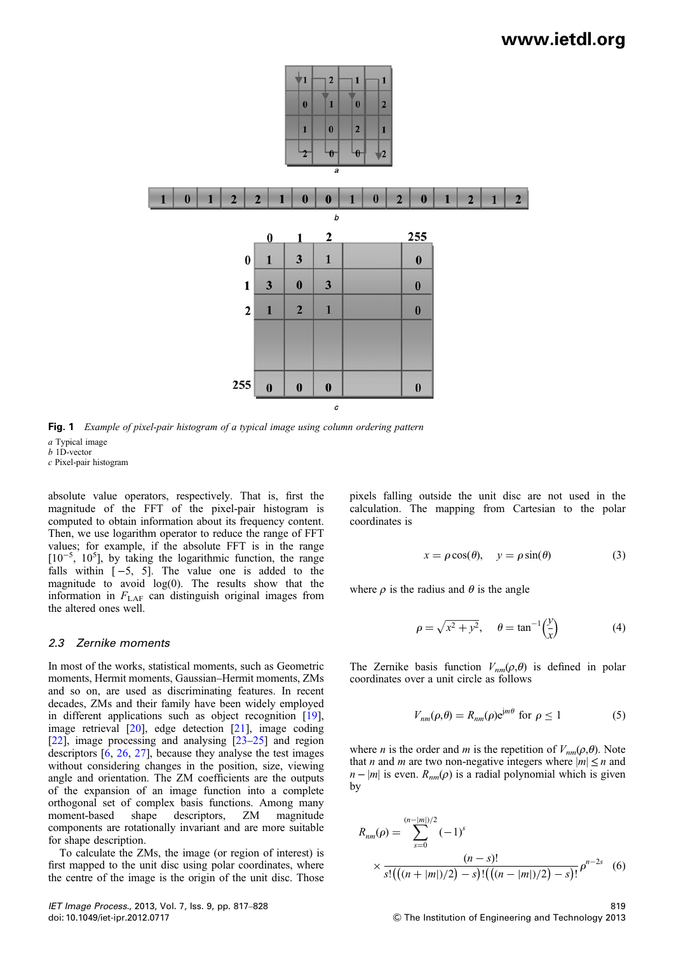

Fig. 1 Example of pixel-pair histogram of a typical image using column ordering pattern a Typical image

absolute value operators, respectively. That is, first the magnitude of the FFT of the pixel-pair histogram is computed to obtain information about its frequency content. Then, we use logarithm operator to reduce the range of FFT values; for example, if the absolute FFT is in the range [10<sup>-5</sup>, 10<sup>5</sup>], by taking the logarithmic function, the range falls within  $[-5, 5]$ . The value one is added to the magnitude to avoid log(0). The results show that the information in  $F_{\text{LAF}}$  can distinguish original images from the altered ones well.

#### 2.3 Zernike moments

In most of the works, statistical moments, such as Geometric moments, Hermit moments, Gaussian–Hermit moments, ZMs and so on, are used as discriminating features. In recent decades, ZMs and their family have been widely employed in different applications such as object recognition [19], image retrieval [20], edge detection [21], image coding [22], image processing and analysing [23–25] and region descriptors [6, 26, 27], because they analyse the test images without considering changes in the position, size, viewing angle and orientation. The ZM coefficients are the outputs of the expansion of an image function into a complete orthogonal set of complex basis functions. Among many moment-based shape descriptors, ZM magnitude components are rotationally invariant and are more suitable for shape description.

To calculate the ZMs, the image (or region of interest) is first mapped to the unit disc using polar coordinates, where the centre of the image is the origin of the unit disc. Those pixels falling outside the unit disc are not used in the calculation. The mapping from Cartesian to the polar coordinates is

$$
x = \rho \cos(\theta), \quad y = \rho \sin(\theta) \tag{3}
$$

where  $\rho$  is the radius and  $\theta$  is the angle

$$
\rho = \sqrt{x^2 + y^2}, \quad \theta = \tan^{-1}\left(\frac{y}{x}\right) \tag{4}
$$

The Zernike basis function  $V_{nm}(\rho,\theta)$  is defined in polar coordinates over a unit circle as follows

$$
V_{nm}(\rho,\theta) = R_{nm}(\rho)e^{jm\theta} \text{ for } \rho \le 1
$$
 (5)

where *n* is the order and *m* is the repetition of  $V_{nm}(\rho,\theta)$ . Note that *n* and *m* are two non-negative integers where  $|m| \le n$  and  $n - |m|$  is even.  $R_{nm}(\rho)$  is a radial polynomial which is given by

$$
R_{nm}(\rho) = \sum_{s=0}^{(n-|m|)/2} (-1)^s
$$
  
 
$$
\times \frac{(n-s)!}{s!\left(((n+|m|)/2) - s\right)!\left(((n-|m|)/2) - s\right)!} \rho^{n-2s} \quad (6)
$$

b 1D-vector

c Pixel-pair histogram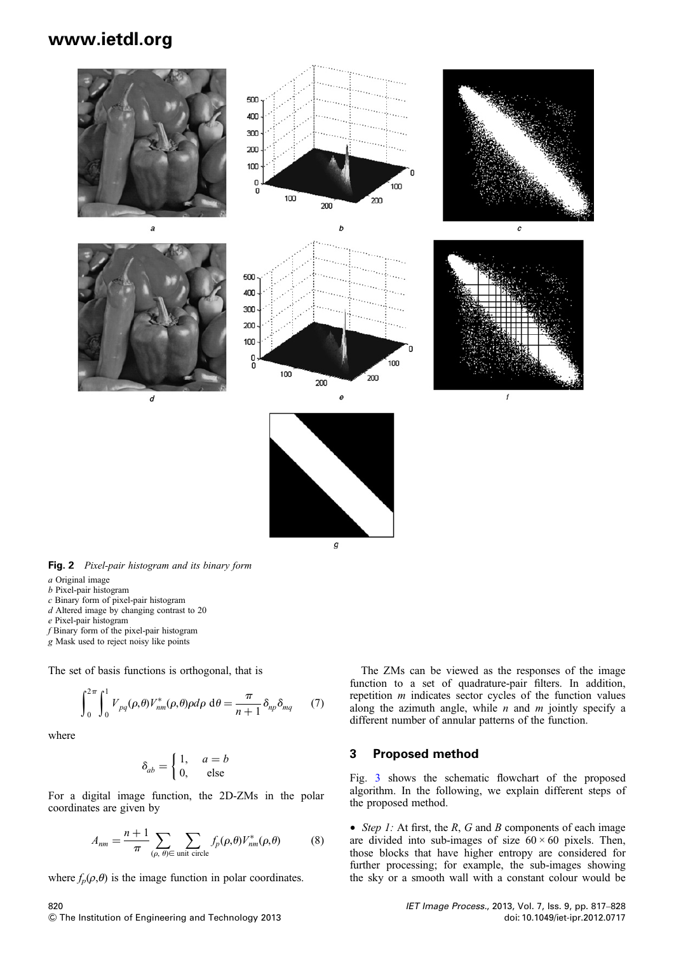

g

Fig. 2 Pixel-pair histogram and its binary form

- a Original image
- b Pixel-pair histogram
- $c$  Binary form of pixel-pair histogram
- d Altered image by changing contrast to 20
- e Pixel-pair histogram
- 

 $f$  Binary form of the pixel-pair histogram g Mask used to reject noisy like points

The set of basis functions is orthogonal, that is

$$
\int_0^{2\pi} \int_0^1 V_{pq}(\rho,\theta) V_{nm}^*(\rho,\theta) \rho d\rho d\theta = \frac{\pi}{n+1} \delta_{np} \delta_{mq} \qquad (7)
$$

where

820

$$
\delta_{ab} = \begin{cases} 1, & a = b \\ 0, & \text{else} \end{cases}
$$

For a digital image function, the 2D-ZMs in the polar coordinates are given by

$$
A_{nm} = \frac{n+1}{\pi} \sum_{(\rho,\theta)\in\text{ unit circle}} f_p(\rho,\theta) V_{nm}^*(\rho,\theta) \tag{8}
$$

where  $f_p(\rho, \theta)$  is the image function in polar coordinates.

The ZMs can be viewed as the responses of the image function to a set of quadrature-pair filters. In addition, repetition m indicates sector cycles of the function values along the azimuth angle, while  $n$  and  $m$  jointly specify a different number of annular patterns of the function.

#### 3 Proposed method

Fig. 3 shows the schematic flowchart of the proposed algorithm. In the following, we explain different steps of the proposed method.

• Step 1: At first, the R, G and B components of each image are divided into sub-images of size  $60 \times 60$  pixels. Then, those blocks that have higher entropy are considered for further processing; for example, the sub-images showing the sky or a smooth wall with a constant colour would be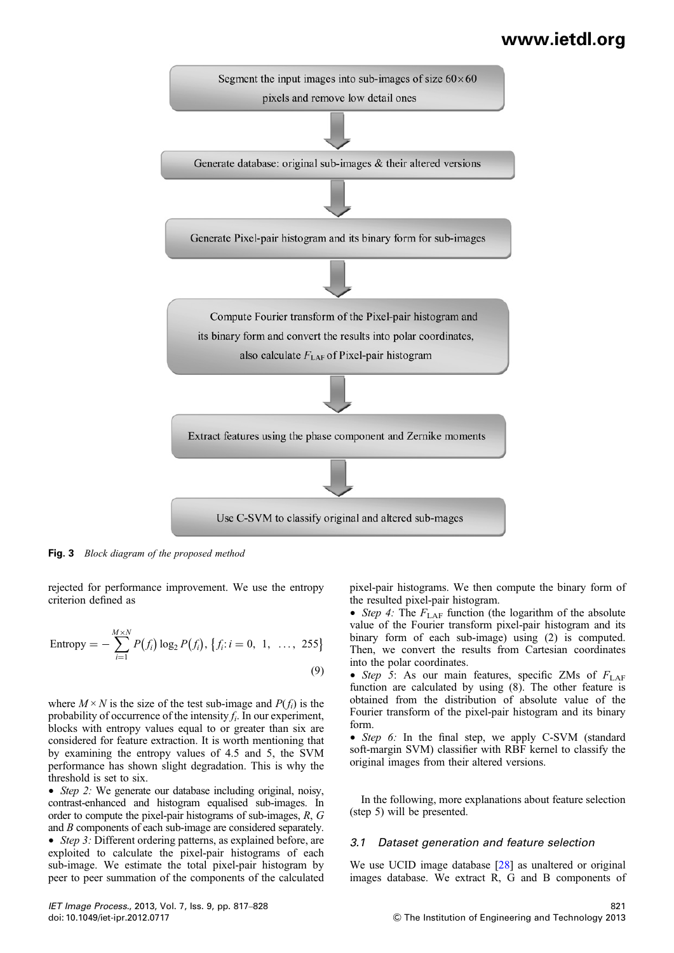

Fig. 3 Block diagram of the proposed method

rejected for performance improvement. We use the entropy criterion defined as

Entropy = 
$$
-\sum_{i=1}^{M \times N} P(f_i) \log_2 P(f_i)
$$
, {f<sub>i</sub>: i = 0, 1, ..., 255} (9)

where  $M \times N$  is the size of the test sub-image and  $P(f_i)$  is the probability of occurrence of the intensity  $f_i$ . In our experiment, blocks with entropy values equal to or greater than six are considered for feature extraction. It is worth mentioning that by examining the entropy values of 4.5 and 5, the SVM performance has shown slight degradation. This is why the threshold is set to six.

• Step 2: We generate our database including original, noisy, contrast-enhanced and histogram equalised sub-images. In order to compute the pixel-pair histograms of sub-images, R, G and *B* components of each sub-image are considered separately. • Step 3: Different ordering patterns, as explained before, are exploited to calculate the pixel-pair histograms of each sub-image. We estimate the total pixel-pair histogram by peer to peer summation of the components of the calculated

pixel-pair histograms. We then compute the binary form of the resulted pixel-pair histogram.

• Step 4: The  $F_{\text{LAF}}$  function (the logarithm of the absolute value of the Fourier transform pixel-pair histogram and its binary form of each sub-image) using (2) is computed. Then, we convert the results from Cartesian coordinates into the polar coordinates.

• Step 5: As our main features, specific ZMs of  $F_{\text{LAF}}$ function are calculated by using (8). The other feature is obtained from the distribution of absolute value of the Fourier transform of the pixel-pair histogram and its binary form.

• Step 6: In the final step, we apply C-SVM (standard soft-margin SVM) classifier with RBF kernel to classify the original images from their altered versions.

In the following, more explanations about feature selection (step 5) will be presented.

#### 3.1 Dataset generation and feature selection

We use UCID image database [28] as unaltered or original images database. We extract R, G and B components of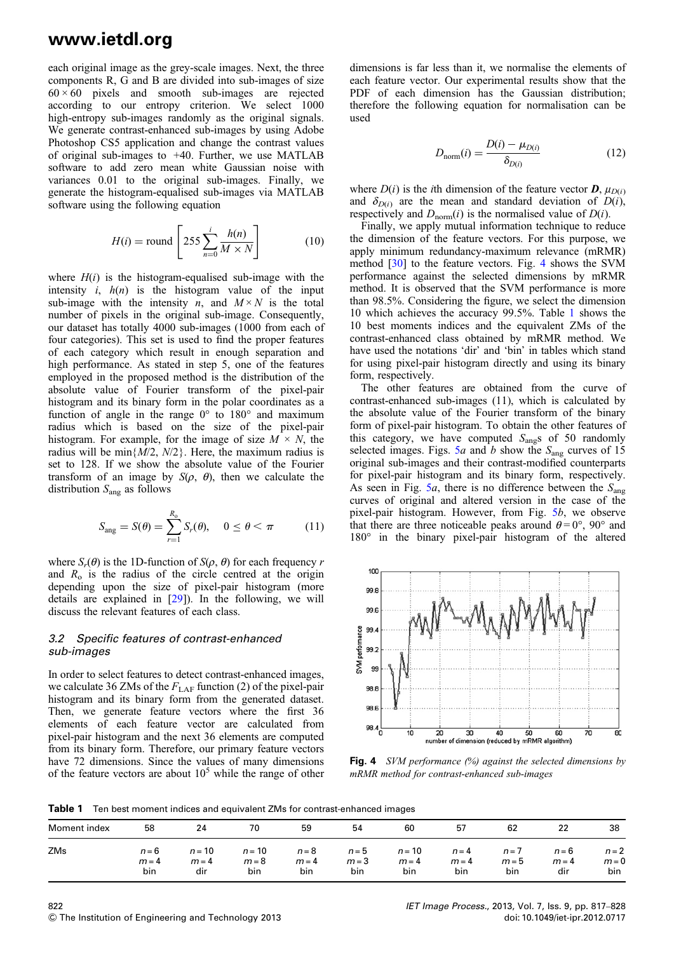each original image as the grey-scale images. Next, the three components R, G and B are divided into sub-images of size  $60 \times 60$  pixels and smooth sub-images are rejected according to our entropy criterion. We select 1000 high-entropy sub-images randomly as the original signals. We generate contrast-enhanced sub-images by using Adobe Photoshop CS5 application and change the contrast values of original sub-images to +40. Further, we use MATLAB software to add zero mean white Gaussian noise with variances 0.01 to the original sub-images. Finally, we generate the histogram-equalised sub-images via MATLAB software using the following equation

$$
H(i) = \text{round}\left[255\sum_{n=0}^{i} \frac{h(n)}{M \times N}\right] \tag{10}
$$

where  $H(i)$  is the histogram-equalised sub-image with the intensity  $i$ ,  $h(n)$  is the histogram value of the input sub-image with the intensity n, and  $M \times N$  is the total number of pixels in the original sub-image. Consequently, our dataset has totally 4000 sub-images (1000 from each of four categories). This set is used to find the proper features of each category which result in enough separation and high performance. As stated in step 5, one of the features employed in the proposed method is the distribution of the absolute value of Fourier transform of the pixel-pair histogram and its binary form in the polar coordinates as a function of angle in the range  $0^{\circ}$  to  $180^{\circ}$  and maximum radius which is based on the size of the pixel-pair histogram. For example, for the image of size  $M \times N$ , the radius will be min $\{M/2, N/2\}$ . Here, the maximum radius is set to 128. If we show the absolute value of the Fourier transform of an image by  $S(\rho, \theta)$ , then we calculate the distribution  $S_{\text{ang}}$  as follows

$$
S_{\text{ang}} = S(\theta) = \sum_{r=1}^{R_0} S_r(\theta), \quad 0 \le \theta < \pi \tag{11}
$$

where  $S_r(\theta)$  is the 1D-function of  $S(\rho, \theta)$  for each frequency r and  $R_0$  is the radius of the circle centred at the origin depending upon the size of pixel-pair histogram (more details are explained in [29]). In the following, we will discuss the relevant features of each class.

#### 3.2 Specific features of contrast-enhanced sub-images

In order to select features to detect contrast-enhanced images, we calculate 36 ZMs of the  $F_{\text{LAF}}$  function (2) of the pixel-pair histogram and its binary form from the generated dataset. Then, we generate feature vectors where the first 36 elements of each feature vector are calculated from pixel-pair histogram and the next 36 elements are computed from its binary form. Therefore, our primary feature vectors have 72 dimensions. Since the values of many dimensions of the feature vectors are about  $10<sup>5</sup>$  while the range of other

dimensions is far less than it, we normalise the elements of each feature vector. Our experimental results show that the PDF of each dimension has the Gaussian distribution; therefore the following equation for normalisation can be used

$$
D_{\text{norm}}(i) = \frac{D(i) - \mu_{D(i)}}{\delta_{D(i)}}\tag{12}
$$

where  $D(i)$  is the *i*th dimension of the feature vector **D**,  $\mu_{D(i)}$ and  $\delta_{D(i)}$  are the mean and standard deviation of  $D(i)$ , respectively and  $D_{\text{norm}}(i)$  is the normalised value of  $D(i)$ .

Finally, we apply mutual information technique to reduce the dimension of the feature vectors. For this purpose, we apply minimum redundancy-maximum relevance (mRMR) method [30] to the feature vectors. Fig. 4 shows the SVM performance against the selected dimensions by mRMR method. It is observed that the SVM performance is more than 98.5%. Considering the figure, we select the dimension 10 which achieves the accuracy 99.5%. Table 1 shows the 10 best moments indices and the equivalent ZMs of the contrast-enhanced class obtained by mRMR method. We have used the notations 'dir' and 'bin' in tables which stand for using pixel-pair histogram directly and using its binary form, respectively.

The other features are obtained from the curve of contrast-enhanced sub-images (11), which is calculated by the absolute value of the Fourier transform of the binary form of pixel-pair histogram. To obtain the other features of this category, we have computed  $S_{\text{ang}}$ s of 50 randomly selected images. Figs. 5a and b show the  $S_{\text{ang}}$  curves of 15 original sub-images and their contrast-modified counterparts for pixel-pair histogram and its binary form, respectively. As seen in Fig.  $5a$ , there is no difference between the  $S_{\text{ang}}$ curves of original and altered version in the case of the pixel-pair histogram. However, from Fig. 5b, we observe that there are three noticeable peaks around  $\theta = 0^{\circ}$ , 90° and 180° in the binary pixel-pair histogram of the altered



Fig. 4  $SVM$  performance  $(%)$  against the selected dimensions by mRMR method for contrast-enhanced sub-images

Table 1 Ten best moment indices and equivalent ZMs for contrast-enhanced images

| Moment index | 58                        | 24                         | 70                         | 59                        | 54                      | 60                         | 57                        | 62                      | 22                        | 38                        |
|--------------|---------------------------|----------------------------|----------------------------|---------------------------|-------------------------|----------------------------|---------------------------|-------------------------|---------------------------|---------------------------|
| ZMs          | $n = 6$<br>$m = 4$<br>bin | $n = 10$<br>$m = 4$<br>dir | $n = 10$<br>$m = 8$<br>bin | $n = 8$<br>$m = 4$<br>bin | $n=5$<br>$m = 3$<br>bin | $n = 10$<br>$m = 4$<br>bin | $n = 4$<br>$m = 4$<br>bin | $n=7$<br>$m = 5$<br>bin | $n = 6$<br>$m = 4$<br>dir | $n = 2$<br>$m = 0$<br>bin |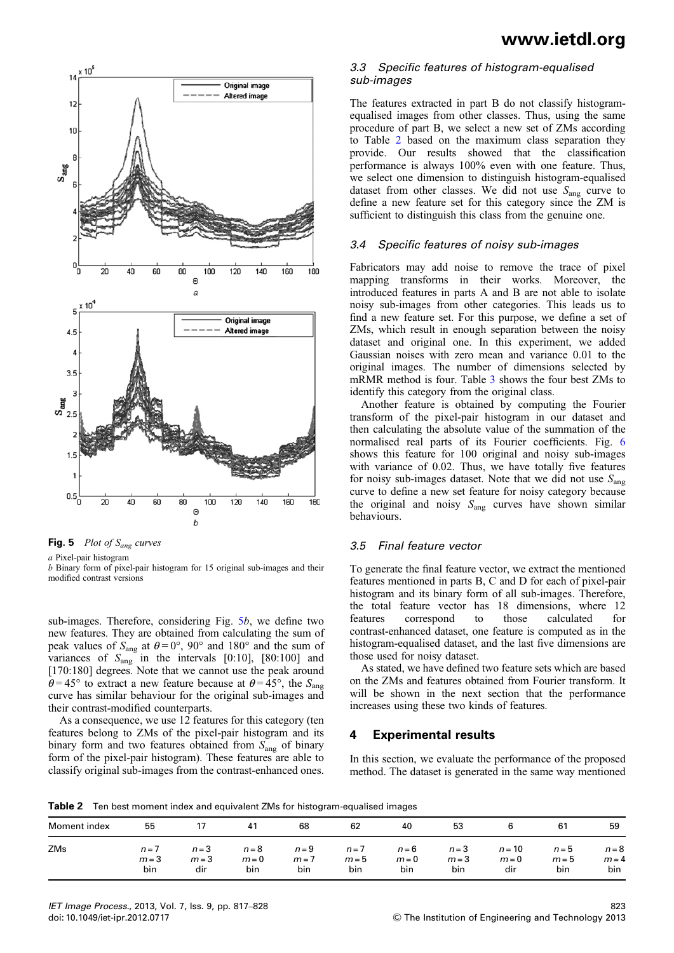



Fig. 5  $Plot of S_{ang} curves$ 

a Pixel-pair histogram

sub-images. Therefore, considering Fig. 5b, we define two new features. They are obtained from calculating the sum of peak values of  $S_{\text{ang}}$  at  $\theta = 0^{\circ}$ ,  $90^{\circ}$  and  $180^{\circ}$  and the sum of variances of  $S_{\text{ang}}$  in the intervals [0:10], [80:100] and [170:180] degrees. Note that we cannot use the peak around  $\theta$  = 45° to extract a new feature because at  $\theta$  = 45°, the S<sub>ang</sub> curve has similar behaviour for the original sub-images and their contrast-modified counterparts.

As a consequence, we use 12 features for this category (ten features belong to ZMs of the pixel-pair histogram and its binary form and two features obtained from  $S_{\text{ang}}$  of binary form of the pixel-pair histogram). These features are able to classify original sub-images from the contrast-enhanced ones.

#### 3.3 Specific features of histogram-equalised sub-images

The features extracted in part B do not classify histogramequalised images from other classes. Thus, using the same procedure of part B, we select a new set of ZMs according to Table 2 based on the maximum class separation they provide. Our results showed that the classification performance is always 100% even with one feature. Thus, we select one dimension to distinguish histogram-equalised dataset from other classes. We did not use  $S_{\text{ang}}$  curve to define a new feature set for this category since the ZM is sufficient to distinguish this class from the genuine one.

#### 3.4 Specific features of noisy sub-images

Fabricators may add noise to remove the trace of pixel mapping transforms in their works. Moreover, the introduced features in parts A and B are not able to isolate noisy sub-images from other categories. This leads us to find a new feature set. For this purpose, we define a set of ZMs, which result in enough separation between the noisy dataset and original one. In this experiment, we added Gaussian noises with zero mean and variance 0.01 to the original images. The number of dimensions selected by mRMR method is four. Table 3 shows the four best ZMs to identify this category from the original class.

Another feature is obtained by computing the Fourier transform of the pixel-pair histogram in our dataset and then calculating the absolute value of the summation of the normalised real parts of its Fourier coefficients. Fig. 6 shows this feature for 100 original and noisy sub-images with variance of 0.02. Thus, we have totally five features for noisy sub-images dataset. Note that we did not use  $S_{\text{ang}}$ curve to define a new set feature for noisy category because the original and noisy  $S_{\text{ang}}$  curves have shown similar behaviours.

#### 3.5 Final feature vector

To generate the final feature vector, we extract the mentioned features mentioned in parts B, C and D for each of pixel-pair histogram and its binary form of all sub-images. Therefore, the total feature vector has 18 dimensions, where 12 features correspond to those calculated for contrast-enhanced dataset, one feature is computed as in the histogram-equalised dataset, and the last five dimensions are those used for noisy dataset.

As stated, we have defined two feature sets which are based on the ZMs and features obtained from Fourier transform. It will be shown in the next section that the performance increases using these two kinds of features.

#### 4 Experimental results

In this section, we evaluate the performance of the proposed method. The dataset is generated in the same way mentioned

**Table 2** Ten best moment index and equivalent ZMs for histogram-equalised images

| Moment index | 55      |         | 41      | 68      | 62      | 40      | 53      |          | 61      | 59      |
|--------------|---------|---------|---------|---------|---------|---------|---------|----------|---------|---------|
| ZMs          | $n=7$   | $n = 3$ | $n = 8$ | $n = 9$ | $n=7$   | $n = 6$ | $n = 3$ | $n = 10$ | $n=5$   | $n = 8$ |
|              | $m = 3$ | $m = 3$ | $m = 0$ | $m = 7$ | $m = 5$ | $m = 0$ | $m = 3$ | $m = 0$  | $m = 5$ | $m = 4$ |
|              | bin     | dir     | bin     | bin     | bin     | bin     | bin     | dir      | bin     | bin     |

b Binary form of pixel-pair histogram for 15 original sub-images and their modified contrast versions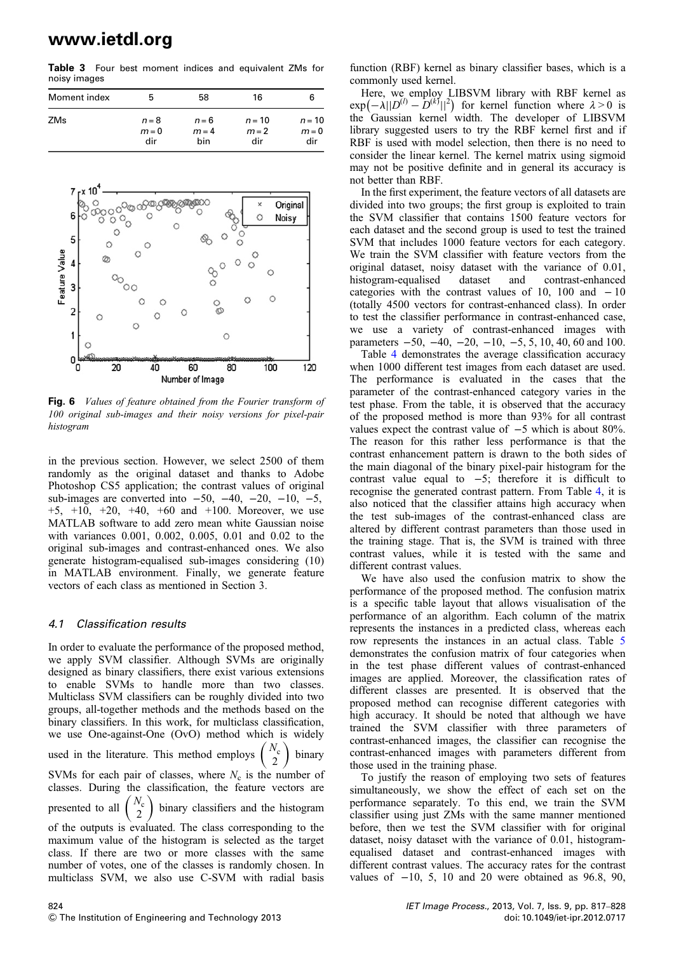Table 3 Four best moment indices and equivalent ZMs for noisy images

| Moment index | 5       | 58      | 16       |          |
|--------------|---------|---------|----------|----------|
| ZMs          | $n = 8$ | $n = 6$ | $n = 10$ | $n = 10$ |
|              | $m = 0$ | $m = 4$ | $m = 2$  | $m = 0$  |
|              | dir     | bin     | dir      | dir      |



Fig. 6 Values of feature obtained from the Fourier transform of 100 original sub-images and their noisy versions for pixel-pair histogram

in the previous section. However, we select 2500 of them randomly as the original dataset and thanks to Adobe Photoshop CS5 application; the contrast values of original sub-images are converted into  $-50$ ,  $-40$ ,  $-20$ ,  $-10$ ,  $-5$ ,  $+5$ ,  $+10$ ,  $+20$ ,  $+40$ ,  $+60$  and  $+100$ . Moreover, we use MATLAB software to add zero mean white Gaussian noise with variances 0.001, 0.002, 0.005, 0.01 and 0.02 to the original sub-images and contrast-enhanced ones. We also generate histogram-equalised sub-images considering (10) in MATLAB environment. Finally, we generate feature vectors of each class as mentioned in Section 3.

#### 4.1 Classification results

In order to evaluate the performance of the proposed method, we apply SVM classifier. Although SVMs are originally designed as binary classifiers, there exist various extensions to enable SVMs to handle more than two classes. Multiclass SVM classifiers can be roughly divided into two groups, all-together methods and the methods based on the binary classifiers. In this work, for multiclass classification, we use One-against-One (OvO) method which is widely used in the literature. This method employs  $\begin{pmatrix} N_c \\ 2 \end{pmatrix}$  binary SVMs for each pair of classes, where  $N_c$  is the number of classes. During the classification, the feature vectors are presented to all  $\binom{N_c}{2}$ 2 binary classifiers and the histogram of the outputs is evaluated. The class corresponding to the maximum value of the histogram is selected as the target class. If there are two or more classes with the same number of votes, one of the classes is randomly chosen. In multiclass SVM, we also use C-SVM with radial basis

function (RBF) kernel as binary classifier bases, which is a commonly used kernel.

Here, we employ LIBSVM library with RBF kernel as  $\exp(-\lambda ||D^{(l)} - D^{(k)}||^2)$  for kernel function where  $\lambda > 0$  is the Gaussian kernel width. The developer of LIBSVM library suggested users to try the RBF kernel first and if RBF is used with model selection, then there is no need to consider the linear kernel. The kernel matrix using sigmoid may not be positive definite and in general its accuracy is not better than RBF.

In the first experiment, the feature vectors of all datasets are divided into two groups; the first group is exploited to train the SVM classifier that contains 1500 feature vectors for each dataset and the second group is used to test the trained SVM that includes 1000 feature vectors for each category. We train the SVM classifier with feature vectors from the original dataset, noisy dataset with the variance of 0.01, histogram-equalised dataset and contrast-enhanced categories with the contrast values of 10, 100 and  $-10$ (totally 4500 vectors for contrast-enhanced class). In order to test the classifier performance in contrast-enhanced case, we use a variety of contrast-enhanced images with parameters  $-50$ ,  $-40$ ,  $-20$ ,  $-10$ ,  $-5$ , 5, 10, 40, 60 and 100.

Table 4 demonstrates the average classification accuracy when 1000 different test images from each dataset are used. The performance is evaluated in the cases that the parameter of the contrast-enhanced category varies in the test phase. From the table, it is observed that the accuracy of the proposed method is more than 93% for all contrast values expect the contrast value of −5 which is about 80%. The reason for this rather less performance is that the contrast enhancement pattern is drawn to the both sides of the main diagonal of the binary pixel-pair histogram for the contrast value equal to −5; therefore it is difficult to recognise the generated contrast pattern. From Table 4, it is also noticed that the classifier attains high accuracy when the test sub-images of the contrast-enhanced class are altered by different contrast parameters than those used in the training stage. That is, the SVM is trained with three contrast values, while it is tested with the same and different contrast values.

We have also used the confusion matrix to show the performance of the proposed method. The confusion matrix is a specific table layout that allows visualisation of the performance of an algorithm. Each column of the matrix represents the instances in a predicted class, whereas each row represents the instances in an actual class. Table 5 demonstrates the confusion matrix of four categories when in the test phase different values of contrast-enhanced images are applied. Moreover, the classification rates of different classes are presented. It is observed that the proposed method can recognise different categories with high accuracy. It should be noted that although we have trained the SVM classifier with three parameters of contrast-enhanced images, the classifier can recognise the contrast-enhanced images with parameters different from those used in the training phase.

To justify the reason of employing two sets of features simultaneously, we show the effect of each set on the performance separately. To this end, we train the SVM classifier using just ZMs with the same manner mentioned before, then we test the SVM classifier with for original dataset, noisy dataset with the variance of 0.01, histogramequalised dataset and contrast-enhanced images with different contrast values. The accuracy rates for the contrast values of  $-10$ , 5, 10 and 20 were obtained as 96.8, 90,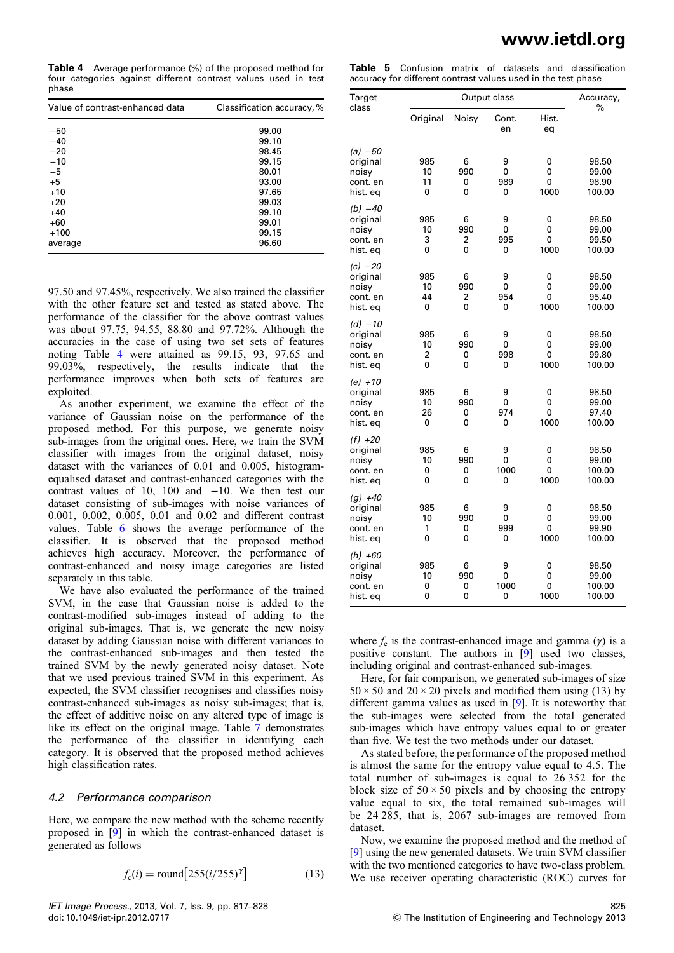Table 4 Average performance (%) of the proposed method for four categories against different contrast values used in test phase

| Value of contrast-enhanced data | Classification accuracy, % |
|---------------------------------|----------------------------|
| $-50$                           | 99.00                      |
| $-40$                           | 99.10                      |
| $-20$                           | 98.45                      |
| $-10$                           | 99.15                      |
| $-5$                            | 80.01                      |
| $+5$                            | 93.00                      |
| $+10$                           | 97.65                      |
| $+20$                           | 99.03                      |
| $+40$                           | 99.10                      |
| $+60$                           | 99.01                      |
| $+100$                          | 99.15                      |
| average                         | 96.60                      |

97.50 and 97.45%, respectively. We also trained the classifier with the other feature set and tested as stated above. The performance of the classifier for the above contrast values was about 97.75, 94.55, 88.80 and 97.72%. Although the accuracies in the case of using two set sets of features noting Table 4 were attained as 99.15, 93, 97.65 and 99.03%, respectively, the results indicate that the performance improves when both sets of features are exploited.

As another experiment, we examine the effect of the variance of Gaussian noise on the performance of the proposed method. For this purpose, we generate noisy sub-images from the original ones. Here, we train the SVM classifier with images from the original dataset, noisy dataset with the variances of 0.01 and 0.005, histogramequalised dataset and contrast-enhanced categories with the contrast values of 10, 100 and −10. We then test our dataset consisting of sub-images with noise variances of 0.001, 0.002, 0.005, 0.01 and 0.02 and different contrast values. Table 6 shows the average performance of the classifier. It is observed that the proposed method achieves high accuracy. Moreover, the performance of contrast-enhanced and noisy image categories are listed separately in this table.

We have also evaluated the performance of the trained SVM, in the case that Gaussian noise is added to the contrast-modified sub-images instead of adding to the original sub-images. That is, we generate the new noisy dataset by adding Gaussian noise with different variances to the contrast-enhanced sub-images and then tested the trained SVM by the newly generated noisy dataset. Note that we used previous trained SVM in this experiment. As expected, the SVM classifier recognises and classifies noisy contrast-enhanced sub-images as noisy sub-images; that is, the effect of additive noise on any altered type of image is like its effect on the original image. Table 7 demonstrates the performance of the classifier in identifying each category. It is observed that the proposed method achieves high classification rates.

#### 4.2 Performance comparison

Here, we compare the new method with the scheme recently proposed in [9] in which the contrast-enhanced dataset is generated as follows

$$
f_c(i) = \text{round}[255(i/255)^{\gamma}]
$$
 (13)

|  |                                                               |  |  | Table 5 Confusion matrix of datasets and classification |
|--|---------------------------------------------------------------|--|--|---------------------------------------------------------|
|  | accuracy for different contrast values used in the test phase |  |  |                                                         |

| Target                                                  |                      |                    | Output class        |                     | Accuracy,                          |
|---------------------------------------------------------|----------------------|--------------------|---------------------|---------------------|------------------------------------|
| class                                                   | Original             | Noisy              | Cont.<br>en         | Hist.<br>eq         | $\%$                               |
| $(a) -50$<br>original<br>noisy<br>cont. en<br>hist. eq  | 985<br>10<br>11<br>0 | 6<br>990<br>0<br>0 | 9<br>0<br>989<br>0  | 0<br>0<br>0<br>1000 | 98.50<br>99.00<br>98.90<br>100.00  |
| (b) $-40$<br>original<br>noisy<br>cont. en<br>hist. eq  | 985<br>10<br>3<br>0  | 6<br>990<br>2<br>0 | 9<br>0<br>995<br>0  | 0<br>0<br>0<br>1000 | 98.50<br>99.00<br>99.50<br>100.00  |
| $(c) -20$<br>original<br>noisy<br>cont. en<br>hist. eq  | 985<br>10<br>44<br>0 | 6<br>990<br>2<br>0 | 9<br>0<br>954<br>0  | 0<br>0<br>0<br>1000 | 98.50<br>99.00<br>95.40<br>100.00  |
| $(d) - 10$<br>original<br>noisy<br>cont. en<br>hist. eq | 985<br>10<br>2<br>0  | 6<br>990<br>0<br>0 | 9<br>0<br>998<br>0  | 0<br>0<br>0<br>1000 | 98.50<br>99.00<br>99.80<br>100.00  |
| $(e) + 10$<br>original<br>noisy<br>cont. en<br>hist. eq | 985<br>10<br>26<br>0 | 6<br>990<br>0<br>0 | 9<br>0<br>974<br>0  | 0<br>0<br>0<br>1000 | 98.50<br>99.00<br>97.40<br>100.00  |
| $(f) +20$<br>original<br>noisy<br>cont. en<br>hist. eq  | 985<br>10<br>0<br>0  | 6<br>990<br>0<br>0 | 9<br>0<br>1000<br>0 | 0<br>0<br>0<br>1000 | 98.50<br>99.00<br>100.00<br>100.00 |
| $(g) +40$<br>original<br>noisy<br>cont. en<br>hist. eq  | 985<br>10<br>1<br>0  | 6<br>990<br>0<br>0 | 9<br>0<br>999<br>0  | 0<br>0<br>0<br>1000 | 98.50<br>99.00<br>99.90<br>100.00  |
| (h) +60<br>original<br>noisy<br>cont. en<br>hist. eq    | 985<br>10<br>0<br>0  | 6<br>990<br>0<br>0 | 9<br>0<br>1000<br>0 | 0<br>0<br>0<br>1000 | 98.50<br>99.00<br>100.00<br>100.00 |

where  $f_c$  is the contrast-enhanced image and gamma (γ) is a positive constant. The authors in [9] used two classes, including original and contrast-enhanced sub-images.

Here, for fair comparison, we generated sub-images of size  $50 \times 50$  and  $20 \times 20$  pixels and modified them using (13) by different gamma values as used in [9]. It is noteworthy that the sub-images were selected from the total generated sub-images which have entropy values equal to or greater than five. We test the two methods under our dataset.

As stated before, the performance of the proposed method is almost the same for the entropy value equal to 4.5. The total number of sub-images is equal to 26 352 for the block size of  $50 \times 50$  pixels and by choosing the entropy value equal to six, the total remained sub-images will be 24 285, that is, 2067 sub-images are removed from dataset.

Now, we examine the proposed method and the method of [9] using the new generated datasets. We train SVM classifier with the two mentioned categories to have two-class problem. We use receiver operating characteristic (ROC) curves for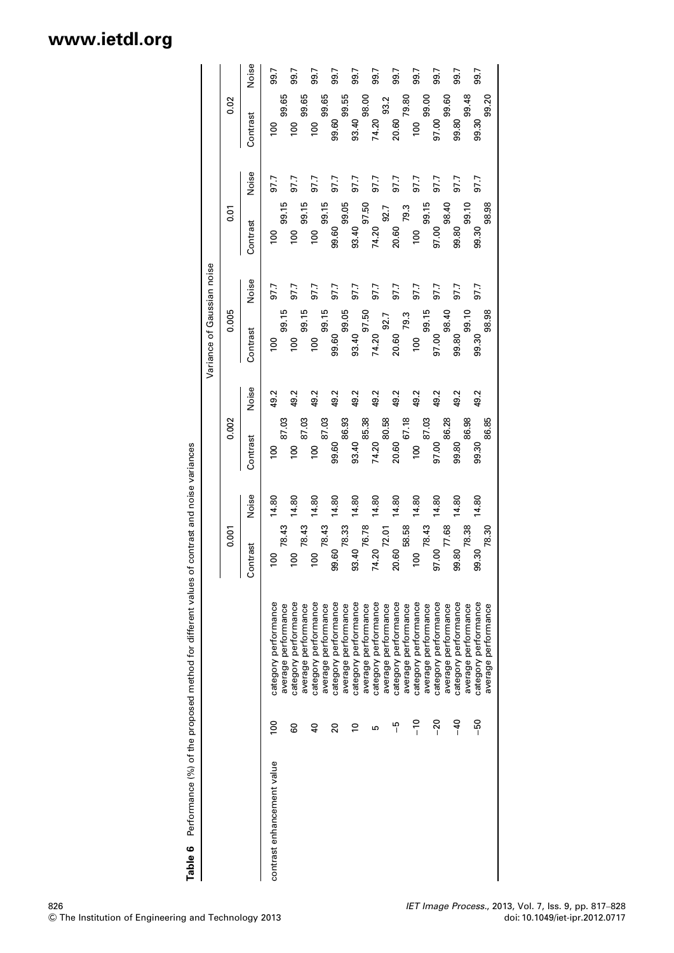Performance (%) of the proposed method for different values of contrast and noise variances **Table 6** Performance (%) of the proposed method for different values of contrast and noise variances Table 6 Variance of Gaussian noise

Variance of Gaussian noise

|   |                |                      | 0.001<br>I                                                                                                            |       | 0.002                                                    |       | 0.005                |       | 0.01                                                                                        |       | 0.02                                         |                   |
|---|----------------|----------------------|-----------------------------------------------------------------------------------------------------------------------|-------|----------------------------------------------------------|-------|----------------------|-------|---------------------------------------------------------------------------------------------|-------|----------------------------------------------|-------------------|
|   |                |                      | Contrast                                                                                                              | Noise | Contrast                                                 | Noise | Contrast             | Noise | Contrast                                                                                    | Noise | Contrast                                     | Noise             |
|   | န္             | category performance | 100                                                                                                                   | 14.80 | $\overline{0}0$                                          | 49.2  | 001                  | 97.7  |                                                                                             | 97.7  | $\overline{5}$                               | 99.7              |
|   |                | average performance  |                                                                                                                       |       | 87.03                                                    |       | 99.15                |       |                                                                                             |       | 99.65                                        |                   |
|   | 80             | category performance |                                                                                                                       | 14.80 | $\frac{1}{2}$                                            | 49.2  | $\overline{5}$       | 97.7  | 99.15<br>100                                                                                | 97.7  | $\overline{100}$                             | 99.7              |
|   |                | average performance  |                                                                                                                       |       | 87.03                                                    |       | 99.15                |       | 99.15                                                                                       |       | 99.65                                        |                   |
|   | $\overline{0}$ | category performance | $78.43$<br>100<br>100<br>100                                                                                          | 14.80 | 100                                                      | 49.2  | $\overline{5}$       | 97.7  | $100$ or                                                                                    | 97.7  | 100                                          | 99.7              |
|   |                | average performance  |                                                                                                                       |       | 87.03                                                    |       | 99.15                |       |                                                                                             |       | 99.65                                        |                   |
|   | 20             | category performance | $99.60$<br>$78.33$<br>$78.33$<br>$76.78$<br>$74.20$<br>$76.78$<br>$72.01$<br>$76.78$<br>$76.88$<br>$76.88$<br>$76.88$ | 14.80 | 99.60                                                    | 49.2  | 99.60                | 97.7  | 99.60<br>99.60                                                                              | 97.7  | 99.60                                        | 99.7              |
|   |                | average performance  |                                                                                                                       |       | 86.93                                                    |       |                      |       |                                                                                             |       |                                              |                   |
|   | S              | category performance |                                                                                                                       | 14.80 | 93.40                                                    | 49.2  | 99.05<br>93.40       | 97.7  | $93.40$<br>$93.40$                                                                          | 57.7  | 99.55<br>93.40                               |                   |
|   |                | average performance  |                                                                                                                       |       | 85.38                                                    |       | 97.50                |       |                                                                                             |       |                                              |                   |
| 5 |                | category performance |                                                                                                                       | 14.80 | 14.20                                                    | 49.2  | 74.20                | 97.7  | $74.20$<br>$74.20$<br>$20.60$<br>$79.3$<br>$100$<br>$79.3$<br>$97.00$<br>$98.40$<br>9/74.20 | 57.7  | $74.20$ example                              |                   |
|   |                | average performance  |                                                                                                                       |       |                                                          |       |                      |       |                                                                                             |       |                                              | 7<br>59.7<br>59.7 |
|   | ပှိ            | category performance |                                                                                                                       | 14.80 | $\begin{matrix} & & & 80.58 \\ 20.60 & & & \end{matrix}$ | 49.2  | $\frac{92.7}{20.60}$ | 97.7  |                                                                                             | 97.7  | $\begin{array}{c} 93.2 \\ 20.60 \end{array}$ | 99.7              |
|   |                | average performance  |                                                                                                                       |       | 67.18                                                    |       | 79.3                 |       |                                                                                             |       |                                              |                   |
|   | ۹<br>آ         | category performance |                                                                                                                       | 14.80 | $\frac{1}{2}$                                            | 49.2  | $\frac{100}{100}$    | 97.7  |                                                                                             | 97.7  | $^{79.80}_{79.80}$<br>100 $^{90.01}_{99.00}$ | 99.7              |
|   |                | average performance  |                                                                                                                       |       |                                                          |       |                      |       |                                                                                             |       |                                              |                   |
|   | $-20$          | category performance |                                                                                                                       | 14.80 | 87.03<br>97.00                                           | 49.2  | $97.00$ 99.15        | 97.7  |                                                                                             | 97.7  | $97.00$ $60.76$                              | 99.7              |
|   |                | average performance  |                                                                                                                       |       | 86.28                                                    |       | 98.40                |       | 98.40                                                                                       |       |                                              |                   |
|   | $\frac{1}{2}$  | category performance | $\begin{array}{@{}c@{\hspace{1em}}c@{\hspace{1em}}}\n 18.43 \\  & 97.00 \\  & 77.68\n \end{array}$<br>99.80           | 14.80 | 99.80                                                    | 49.2  | 99.80                | 97.7  | 99.80                                                                                       | 57.7  | 99.80<br>99.80                               | 99.7              |
|   |                | average performance  |                                                                                                                       |       |                                                          |       |                      |       |                                                                                             |       |                                              |                   |
|   | 50<br>-        | category performance | $78.38$<br>99.30                                                                                                      | 14.80 | 86.98<br>99.30                                           | 49.2  | 99.30<br>99.30       | 97.7  | $99.30$                                                                                     | 97.7  | $99.30$                                      | 99.7              |
|   |                | average performance  | 78.30                                                                                                                 |       | 86.85                                                    |       | 98.98                |       | 98.98                                                                                       |       | 99.20                                        |                   |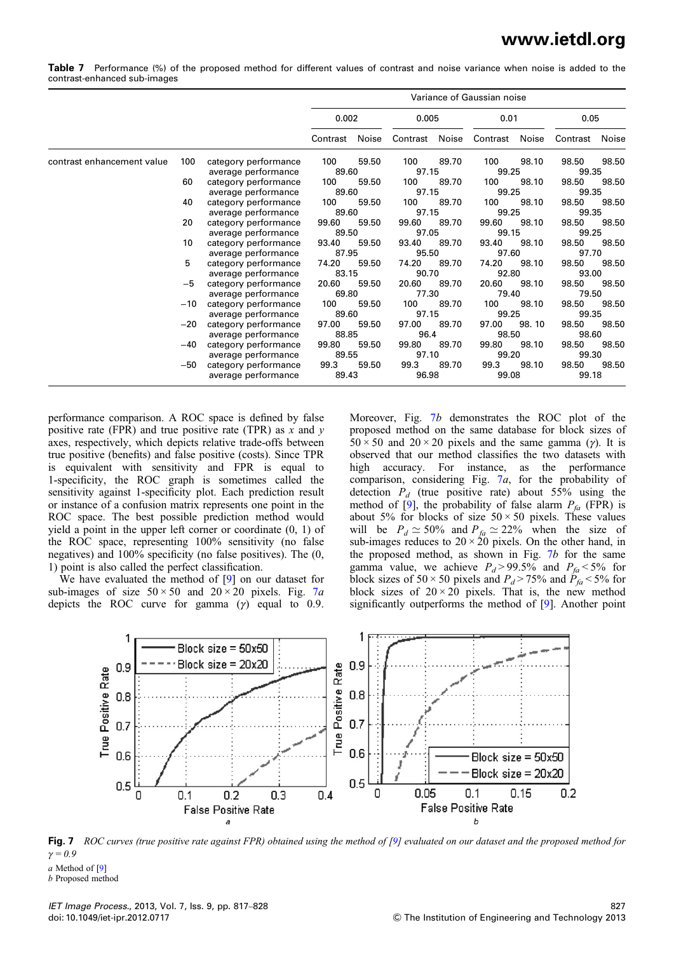Table 7 Performance (%) of the proposed method for different values of contrast and noise variance when noise is added to the contrast-enhanced sub-images

|                            |       |                      |          |       |          |       | Variance of Gaussian noise |       |          |       |
|----------------------------|-------|----------------------|----------|-------|----------|-------|----------------------------|-------|----------|-------|
|                            |       |                      | 0.002    |       | 0.005    |       | 0.01                       |       | 0.05     |       |
|                            |       |                      | Contrast | Noise | Contrast | Noise | Contrast                   | Noise | Contrast | Noise |
| contrast enhancement value | 100   | category performance | 100      | 59.50 | 100      | 89.70 | 100                        | 98.10 | 98.50    | 98.50 |
|                            |       | average performance  | 89.60    |       | 97.15    |       | 99.25                      |       | 99.35    |       |
|                            | 60    | category performance | 100      | 59.50 | 100      | 89.70 | 100                        | 98.10 | 98.50    | 98.50 |
|                            |       | average performance  | 89.60    |       | 97.15    |       | 99.25                      |       | 99.35    |       |
|                            | 40    | category performance | 100      | 59.50 | 100      | 89.70 | 100                        | 98.10 | 98.50    | 98.50 |
|                            |       | average performance  | 89.60    |       | 97.15    |       | 99.25                      |       | 99.35    |       |
|                            | 20    | category performance | 99.60    | 59.50 | 99.60    | 89.70 | 99.60                      | 98.10 | 98.50    | 98.50 |
|                            |       | average performance  | 89.50    |       | 97.05    |       | 99.15                      |       | 99.25    |       |
|                            | 10    | category performance | 93.40    | 59.50 | 93.40    | 89.70 | 93.40                      | 98.10 | 98.50    | 98.50 |
|                            |       | average performance  | 87.95    |       | 95.50    |       | 97.60                      |       | 97.70    |       |
|                            | 5     | category performance | 74.20    | 59.50 | 74.20    | 89.70 | 74.20                      | 98.10 | 98.50    | 98.50 |
|                            |       | average performance  | 83.15    |       | 90.70    |       | 92.80                      |       | 93.00    |       |
|                            | -5    | category performance | 20.60    | 59.50 | 20.60    | 89.70 | 20.60                      | 98.10 | 98.50    | 98.50 |
|                            |       | average performance  | 69.80    |       | 77.30    |       | 79.40                      |       | 79.50    |       |
|                            | $-10$ | category performance | 100      | 59.50 | 100      | 89.70 | 100                        | 98.10 | 98.50    | 98.50 |
|                            |       | average performance  | 89.60    |       | 97.15    |       | 99.25                      |       | 99.35    |       |
|                            | $-20$ | category performance | 97.00    | 59.50 | 97.00    | 89.70 | 97.00                      | 98.10 | 98.50    | 98.50 |
|                            |       | average performance  | 88.85    |       | 96.4     |       | 98.50                      |       | 98.60    |       |
|                            | $-40$ | category performance | 99.80    | 59.50 | 99.80    | 89.70 | 99.80                      | 98.10 | 98.50    | 98.50 |
|                            |       | average performance  | 89.55    |       | 97.10    |       | 99.20                      |       | 99.30    |       |
|                            | $-50$ | category performance | 99.3     | 59.50 | 99.3     | 89.70 | 99.3                       | 98.10 | 98.50    | 98.50 |
|                            |       | average performance  | 89.43    |       | 96.98    |       | 99.08                      |       | 99.18    |       |

performance comparison. A ROC space is defined by false positive rate (FPR) and true positive rate (TPR) as  $x$  and  $y$ axes, respectively, which depicts relative trade-offs between true positive (benefits) and false positive (costs). Since TPR is equivalent with sensitivity and FPR is equal to 1-specificity, the ROC graph is sometimes called the sensitivity against 1-specificity plot. Each prediction result or instance of a confusion matrix represents one point in the ROC space. The best possible prediction method would yield a point in the upper left corner or coordinate (0, 1) of the ROC space, representing 100% sensitivity (no false negatives) and 100% specificity (no false positives). The (0, 1) point is also called the perfect classification.

We have evaluated the method of [9] on our dataset for sub-images of size  $50 \times 50$  and  $20 \times 20$  pixels. Fig. 7a depicts the ROC curve for gamma  $(\gamma)$  equal to 0.9.

Moreover, Fig. 7b demonstrates the ROC plot of the proposed method on the same database for block sizes of  $50 \times 50$  and  $20 \times 20$  pixels and the same gamma (γ). It is observed that our method classifies the two datasets with high accuracy. For instance, as the performance comparison, considering Fig. 7a, for the probability of detection  $P_d$  (true positive rate) about 55% using the method of [9], the probability of false alarm  $P_{fa}$  (FPR) is about 5% for blocks of size  $50 \times 50$  pixels. These values will be  $P_d \approx 50\%$  and  $P_{fa} \approx 22\%$  when the size of sub-images reduces to 20 × 20 pixels. On the other hand, in the proposed method, as shown in Fig.  $7b$  for the same gamma value, we achieve  $P_d > 99.5\%$  and  $P_{fa} < 5\%$  for block sizes of 50 × 50 pixels and  $P_d$  > 75% and  $P_f_a$  < 5% for block sizes of  $20 \times 20$  pixels. That is, the new method significantly outperforms the method of [9]. Another point



Fig. 7 ROC curves (true positive rate against FPR) obtained using the method of [9] evaluated on our dataset and the proposed method for  $\gamma = 0.9$ 

a Method of [9]

b Proposed method